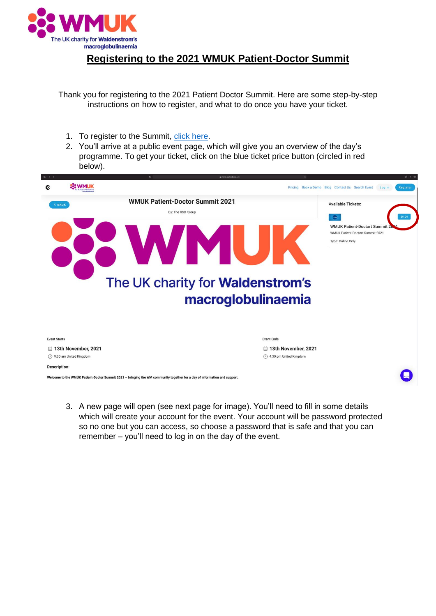

## **Registering to the 2021 WMUK Patient-Doctor Summit**

Thank you for registering to the 2021 Patient Doctor Summit. Here are some step-by-step instructions on how to register, and what to do once you have your ticket.

- 1. To register to the Summit, [click here.](https://events.reattendance.com/public/50)
- 2. You'll arrive at a public event page, which will give you an overview of the day's programme. To get your ticket, click on the blue ticket price button (circled in red below).



3. A new page will open (see next page for image). You'll need to fill in some details which will create your account for the event. Your account will be password protected so no one but you can access, so choose a password that is safe and that you can remember – you'll need to log in on the day of the event.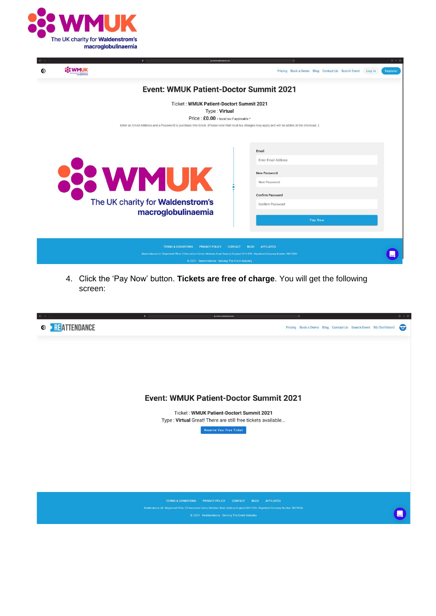

|  |                                                                                                                                                                                                                                                           |                    | a events reattendance.com                      |                                                  | $0 + 0$            |  |  |  |  |  |  |
|--|-----------------------------------------------------------------------------------------------------------------------------------------------------------------------------------------------------------------------------------------------------------|--------------------|------------------------------------------------|--------------------------------------------------|--------------------|--|--|--|--|--|--|
|  |                                                                                                                                                                                                                                                           |                    |                                                | Pricing Book a Demo Blog Contact Us Search Event | Register<br>Log In |  |  |  |  |  |  |
|  | <b>Event: WMUK Patient-Doctor Summit 2021</b>                                                                                                                                                                                                             |                    |                                                |                                                  |                    |  |  |  |  |  |  |
|  | Ticket: WMUK Patient-Doctort Summit 2021<br>Type: Virtual                                                                                                                                                                                                 |                    |                                                |                                                  |                    |  |  |  |  |  |  |
|  |                                                                                                                                                                                                                                                           |                    |                                                |                                                  |                    |  |  |  |  |  |  |
|  | Price: £0.00 + local tax if applicable *<br>Enter an Email Address and a Password to purchase this ticket. (Please note that local tax charges may apply and will be added at the checkout.)                                                              |                    |                                                |                                                  |                    |  |  |  |  |  |  |
|  |                                                                                                                                                                                                                                                           |                    |                                                |                                                  |                    |  |  |  |  |  |  |
|  |                                                                                                                                                                                                                                                           |                    |                                                |                                                  |                    |  |  |  |  |  |  |
|  | <b>SE WMUK</b><br>The UK charity for Waldenstrom's                                                                                                                                                                                                        |                    |                                                |                                                  |                    |  |  |  |  |  |  |
|  |                                                                                                                                                                                                                                                           |                    |                                                | Email                                            |                    |  |  |  |  |  |  |
|  |                                                                                                                                                                                                                                                           |                    |                                                | Enter Email Address                              |                    |  |  |  |  |  |  |
|  |                                                                                                                                                                                                                                                           |                    |                                                |                                                  |                    |  |  |  |  |  |  |
|  |                                                                                                                                                                                                                                                           |                    |                                                | <b>New Password</b>                              |                    |  |  |  |  |  |  |
|  |                                                                                                                                                                                                                                                           |                    |                                                | New Password                                     |                    |  |  |  |  |  |  |
|  |                                                                                                                                                                                                                                                           |                    |                                                |                                                  |                    |  |  |  |  |  |  |
|  |                                                                                                                                                                                                                                                           |                    |                                                | Confirm Password                                 |                    |  |  |  |  |  |  |
|  |                                                                                                                                                                                                                                                           |                    |                                                | Confirm Password                                 |                    |  |  |  |  |  |  |
|  |                                                                                                                                                                                                                                                           | macroglobulinaemia |                                                |                                                  |                    |  |  |  |  |  |  |
|  |                                                                                                                                                                                                                                                           |                    |                                                | Pay Now                                          |                    |  |  |  |  |  |  |
|  |                                                                                                                                                                                                                                                           |                    |                                                |                                                  |                    |  |  |  |  |  |  |
|  |                                                                                                                                                                                                                                                           |                    |                                                |                                                  |                    |  |  |  |  |  |  |
|  |                                                                                                                                                                                                                                                           |                    |                                                |                                                  |                    |  |  |  |  |  |  |
|  | <b>TERMS &amp; CONDITIONS</b><br><b>PRIVACY POLICY</b><br><b>CONTACT</b><br><b>BLOG</b><br><b>AFFILIATES</b><br>Reattendance Ltd - Registered Office: CS Innovation Centre, Mewburn Road, Banbury, England OX16 9PA - Registered Company Number: 08070386 |                    |                                                |                                                  |                    |  |  |  |  |  |  |
|  |                                                                                                                                                                                                                                                           |                    |                                                |                                                  |                    |  |  |  |  |  |  |
|  |                                                                                                                                                                                                                                                           |                    | @ 2021 Reattendance Serving The Event Industry |                                                  |                    |  |  |  |  |  |  |
|  |                                                                                                                                                                                                                                                           |                    |                                                |                                                  |                    |  |  |  |  |  |  |

4. Click the 'Pay Now' button. **Tickets are free of charge**. You will get the following screen:

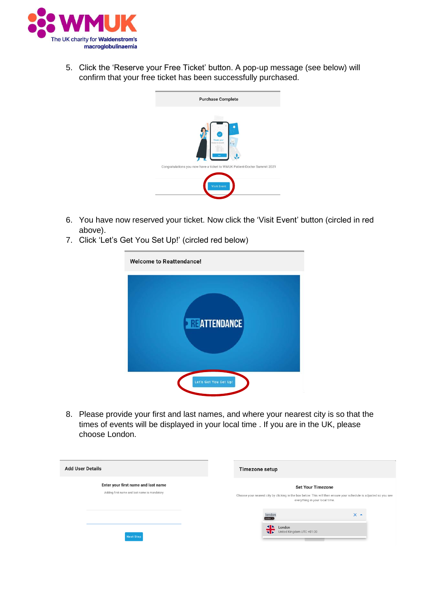

5. Click the 'Reserve your Free Ticket' button. A pop-up message (see below) will confirm that your free ticket has been successfully purchased.

| <b>Purchase Complete</b>                                                 |
|--------------------------------------------------------------------------|
| Thank you!<br>day was toppedid                                           |
| Congratulations you now have a ticket to WMUK Patient-Doctor Summit 2021 |
| <b>Visit Event</b>                                                       |

- 6. You have now reserved your ticket. Now click the 'Visit Event' button (circled in red above).
- 7. Click 'Let's Get You Set Up!' (circled red below)

| <b>Welcome to Reattendance!</b> |  |  |  |  |  |  |  |
|---------------------------------|--|--|--|--|--|--|--|
| <b>ENEATTENDANCE</b>            |  |  |  |  |  |  |  |
| Let's Get You Set Up!           |  |  |  |  |  |  |  |

8. Please provide your first and last names, and where your nearest city is so that the times of events will be displayed in your local time . If you are in the UK, please choose London.

| <b>Add User Details</b> |                                                                                     |  | Timezone setup                                                                                                                                                                  |                                                                            |                 |  |
|-------------------------|-------------------------------------------------------------------------------------|--|---------------------------------------------------------------------------------------------------------------------------------------------------------------------------------|----------------------------------------------------------------------------|-----------------|--|
|                         | Enter your first name and last name<br>Adding first name and last name is mandatory |  | <b>Set Your Timezone</b><br>Choose your nearest city by clicking in the box below. This will then ensure your schedule is adjusted so you see<br>everything in your local time. |                                                                            |                 |  |
|                         | <b>Next Step</b>                                                                    |  |                                                                                                                                                                                 | london<br>London x<br>$\triangle$<br>London<br>S United Kingdom UTC +01:00 | $\times$ $\sim$ |  |